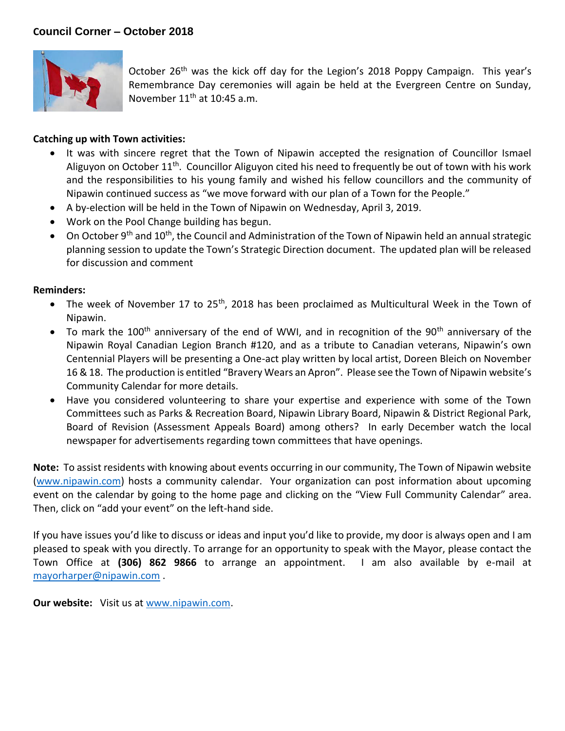

October 26<sup>th</sup> was the kick off day for the Legion's 2018 Poppy Campaign. This year's Remembrance Day ceremonies will again be held at the Evergreen Centre on Sunday, November 11<sup>th</sup> at 10:45 a.m.

## **Catching up with Town activities:**

- It was with sincere regret that the Town of Nipawin accepted the resignation of Councillor Ismael Aliguyon on October 11<sup>th</sup>. Councillor Aliguyon cited his need to frequently be out of town with his work and the responsibilities to his young family and wished his fellow councillors and the community of Nipawin continued success as "we move forward with our plan of a Town for the People."
- A by-election will be held in the Town of Nipawin on Wednesday, April 3, 2019.
- Work on the Pool Change building has begun.
- On October 9<sup>th</sup> and 10<sup>th</sup>, the Council and Administration of the Town of Nipawin held an annual strategic planning session to update the Town's Strategic Direction document. The updated plan will be released for discussion and comment

## **Reminders:**

- The week of November 17 to 25<sup>th</sup>, 2018 has been proclaimed as Multicultural Week in the Town of Nipawin.
- To mark the 100<sup>th</sup> anniversary of the end of WWI, and in recognition of the 90<sup>th</sup> anniversary of the Nipawin Royal Canadian Legion Branch #120, and as a tribute to Canadian veterans, Nipawin's own Centennial Players will be presenting a One-act play written by local artist, Doreen Bleich on November 16 & 18. The production is entitled "Bravery Wears an Apron". Please see the Town of Nipawin website's Community Calendar for more details.
- Have you considered volunteering to share your expertise and experience with some of the Town Committees such as Parks & Recreation Board, Nipawin Library Board, Nipawin & District Regional Park, Board of Revision (Assessment Appeals Board) among others? In early December watch the local newspaper for advertisements regarding town committees that have openings.

**Note:** To assist residents with knowing about events occurring in our community, The Town of Nipawin website [\(www.nipawin.com\)](http://www.nipawin.com/) hosts a community calendar. Your organization can post information about upcoming event on the calendar by going to the home page and clicking on the "View Full Community Calendar" area. Then, click on "add your event" on the left-hand side.

If you have issues you'd like to discuss or ideas and input you'd like to provide, my door is always open and I am pleased to speak with you directly. To arrange for an opportunity to speak with the Mayor, please contact the Town Office at **(306) 862 9866** to arrange an appointment. I am also available by e-mail at [mayorharper@nipawin.com](mailto:mayorharper@nipawin.com) .

**Our website:** Visit us at [www.nipawin.com.](http://www.nipawin.com/)